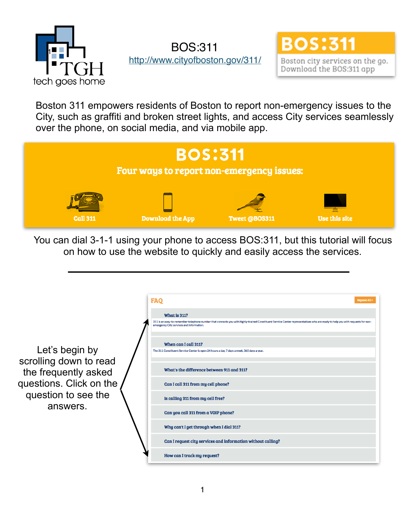

BOS:311 <http://www.cityofboston.gov/311/>



Boston 311 empowers residents of Boston to report non-emergency issues to the City, such as graffiti and broken street lights, and access City services seamlessly over the phone, on social media, and via mobile app.



You can dial 3-1-1 using your phone to access BOS:311, but this tutorial will focus on how to use the website to quickly and easily access the services.

|                         |  | <b>FAQ</b><br><b>Expand All:</b>                                                                                                                                                                                          |
|-------------------------|--|---------------------------------------------------------------------------------------------------------------------------------------------------------------------------------------------------------------------------|
|                         |  | What is 311?                                                                                                                                                                                                              |
|                         |  | 311 is an easy-to-remember telephone number that connects you with highly-trained Constituent Service Center representatives who are ready to help you with requests for non-<br>emergency City services and information. |
|                         |  | When can I call 311?                                                                                                                                                                                                      |
| Let's begin by          |  | The 311 Constituent Service Center is open 24 hours a day, 7 days a week, 365 days a year.                                                                                                                                |
|                         |  |                                                                                                                                                                                                                           |
| scrolling down to read  |  |                                                                                                                                                                                                                           |
| the frequently asked    |  | What's the difference between 911 and 311?                                                                                                                                                                                |
|                         |  |                                                                                                                                                                                                                           |
| questions. Click on the |  | Can I call 311 from my cell phone?                                                                                                                                                                                        |
| question to see the     |  | Is calling 311 from my cell free?                                                                                                                                                                                         |
| answers.                |  |                                                                                                                                                                                                                           |
|                         |  | Can you call 311 from a VOIP phone?                                                                                                                                                                                       |
|                         |  |                                                                                                                                                                                                                           |
|                         |  | Why can't I get through when I dial 311?                                                                                                                                                                                  |
|                         |  | Can I request city services and information without calling?                                                                                                                                                              |
|                         |  |                                                                                                                                                                                                                           |
|                         |  | How can I track my request?                                                                                                                                                                                               |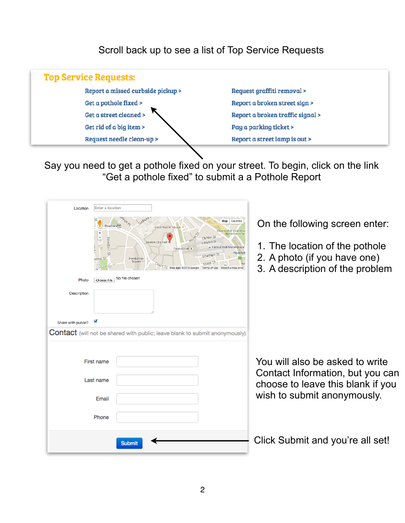## Scroll back up to see a list of Top Service Requests



Say you need to get a pothole fixed on your street. To begin, click on the link "Get a pothole fixed" to submit a a Pothole Report

| Location           | Enter a location                                                                                                                                                                                                                                                                                                                                                                                                                                                                                                                                   |                          |
|--------------------|----------------------------------------------------------------------------------------------------------------------------------------------------------------------------------------------------------------------------------------------------------------------------------------------------------------------------------------------------------------------------------------------------------------------------------------------------------------------------------------------------------------------------------------------------|--------------------------|
|                    | Sudbury<br>m <sub>nch Pl</sub><br>Satellite<br>Map<br>Bowdoin <sup>(T)</sup><br><b>Union Oyster House YI</b><br>Christopher Columbu.<br>÷<br><b>Waterfront Pan</b><br>Norths<br>$\overline{a}$<br>Clinton St<br>Bowdoin<br>t<br>N Market St<br><b>Boston City Hall</b><br><b>A</b> Faneuil Hall Marketplace<br>Faneuil Hall<br>5<br>Aquarium<br>$\omega$<br>Chatham St<br>$23 -$<br>Jerne St<br>Pemberton<br>Square<br>State St<br>$C_{QQ}$<br>$C_{Qf}$ $S_{f}$ Map data © 2015 Google Terms of Use Report a map error<br>Ne <sup></sup><br>Coogle | 1<br>$\frac{2}{3}$       |
| Photo              | No file chosen<br><b>Choose File</b>                                                                                                                                                                                                                                                                                                                                                                                                                                                                                                               |                          |
| Description        |                                                                                                                                                                                                                                                                                                                                                                                                                                                                                                                                                    |                          |
| Share with public? | ☑                                                                                                                                                                                                                                                                                                                                                                                                                                                                                                                                                  |                          |
|                    | <b>Contact</b> (will not be shared with public; leave blank to submit anonymously)                                                                                                                                                                                                                                                                                                                                                                                                                                                                 |                          |
|                    | First name                                                                                                                                                                                                                                                                                                                                                                                                                                                                                                                                         |                          |
|                    | Last name                                                                                                                                                                                                                                                                                                                                                                                                                                                                                                                                          | Y<br>C<br>c <sub>l</sub> |
|                    | Email                                                                                                                                                                                                                                                                                                                                                                                                                                                                                                                                              | W                        |
|                    | Phone                                                                                                                                                                                                                                                                                                                                                                                                                                                                                                                                              |                          |
|                    | <b>Submit</b>                                                                                                                                                                                                                                                                                                                                                                                                                                                                                                                                      |                          |

On the following screen enter:

- . The location of the pothole
- 2. A photo (if you have one)
- . A description of the problem

ou will also be asked to write ontact Information, but you can hoose to leave this blank if you ish to submit anonymously.

lick Submit and you're all set!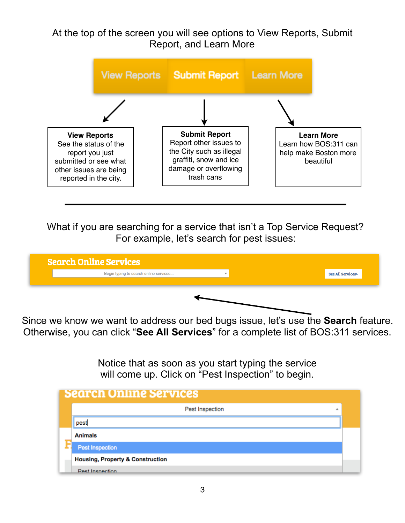At the top of the screen you will see options to View Reports, Submit Report, and Learn More



What if you are searching for a service that isn't a Top Service Request? For example, let's search for pest issues:

| <b>Search Online Services</b>          |                             |
|----------------------------------------|-----------------------------|
| Begin typing to search online services | <b>See All Services&gt;</b> |
|                                        |                             |
|                                        |                             |
|                                        |                             |
|                                        |                             |

Since we know we want to address our bed bugs issue, let's use the **Search** feature. Otherwise, you can click "**See All Services**" for a complete list of BOS:311 services.

> Notice that as soon as you start typing the service will come up. Click on "Pest Inspection" to begin.

| <b>Search Online Services</b>               |   |  |
|---------------------------------------------|---|--|
| Pest Inspection                             | 业 |  |
| pest                                        |   |  |
| <b>Animals</b>                              |   |  |
| <b>Pest Inspection</b>                      |   |  |
| <b>Housing, Property &amp; Construction</b> |   |  |
| Pest Insnection                             |   |  |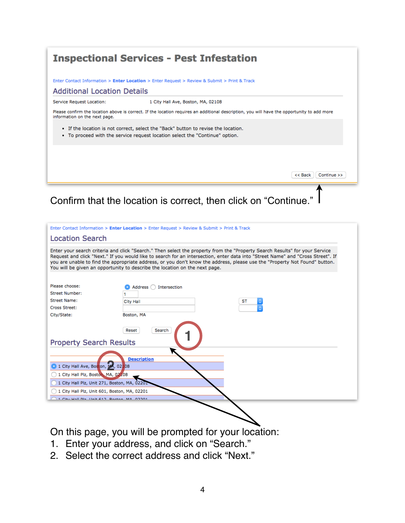| <b>Inspectional Services - Pest Infestation</b> |                                                                                                                                                                                                                                                                                                                   |             |
|-------------------------------------------------|-------------------------------------------------------------------------------------------------------------------------------------------------------------------------------------------------------------------------------------------------------------------------------------------------------------------|-------------|
|                                                 | Enter Contact Information > Enter Location > Enter Request > Review & Submit > Print & Track                                                                                                                                                                                                                      |             |
| <b>Additional Location Details</b>              |                                                                                                                                                                                                                                                                                                                   |             |
| Service Request Location:                       | 1 City Hall Ave, Boston, MA, 02108                                                                                                                                                                                                                                                                                |             |
| information on the next page.                   | Please confirm the location above is correct. If the location requires an additional description, you will have the opportunity to add more<br>. If the location is not correct, select the "Back" button to revise the location.<br>• To proceed with the service request location select the "Continue" option. |             |
|                                                 | << Back                                                                                                                                                                                                                                                                                                           | Continue >> |
|                                                 | Confirm that the location is correct, then click on "Continue."                                                                                                                                                                                                                                                   |             |

|                                                                                         | Enter Contact Information > Enter Location > Enter Request > Review & Submit > Print & Track                                                                                                                                                                                                                                                                                                                                                                                |  |
|-----------------------------------------------------------------------------------------|-----------------------------------------------------------------------------------------------------------------------------------------------------------------------------------------------------------------------------------------------------------------------------------------------------------------------------------------------------------------------------------------------------------------------------------------------------------------------------|--|
| <b>Location Search</b>                                                                  |                                                                                                                                                                                                                                                                                                                                                                                                                                                                             |  |
|                                                                                         | Enter your search criteria and click "Search." Then select the property from the "Property Search Results" for your Service<br>Request and click "Next." If you would like to search for an intersection, enter data into "Street Name" and "Cross Street". If<br>you are unable to find the appropriate address, or you don't know the address, please use the "Property Not Found" button.<br>You will be given an opportunity to describe the location on the next page. |  |
| Please choose:<br>Street Number:<br><b>Street Name:</b><br>Cross Street:<br>City/State: | Address (<br>Intersection<br>sт<br><b>City Hall</b><br>Boston, MA                                                                                                                                                                                                                                                                                                                                                                                                           |  |
| <b>Property Search Results</b>                                                          | Search<br>Reset                                                                                                                                                                                                                                                                                                                                                                                                                                                             |  |
| 1 City Hall Ave, Boston, MA, 02108                                                      | <b>Description</b>                                                                                                                                                                                                                                                                                                                                                                                                                                                          |  |
| 1 City Hall Plz, Boston, MA, 02108<br>1 City Hall Plz, Unit 271, Boston, MA, 02201      |                                                                                                                                                                                                                                                                                                                                                                                                                                                                             |  |
|                                                                                         | 1 City Hall Plz, Unit 601, Boston, MA, 02201                                                                                                                                                                                                                                                                                                                                                                                                                                |  |

On this page, you will be prompted for your location:

- 1. Enter your address, and click on "Search."
- 2. Select the correct address and click "Next."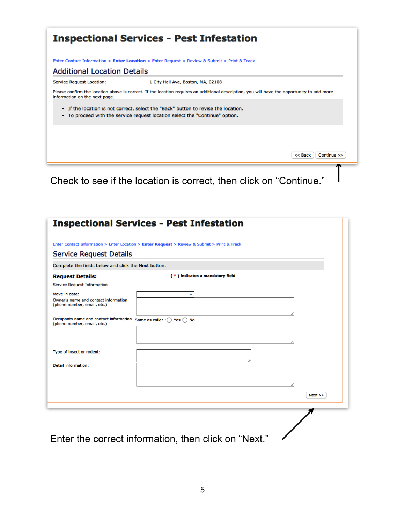| <b>Inspectional Services - Pest Infestation</b><br>Enter Contact Information > Enter Location > Enter Request > Review & Submit > Print & Track<br><b>Additional Location Details</b> |                                                                                                                                                                                                                                                                                                                   |  |
|---------------------------------------------------------------------------------------------------------------------------------------------------------------------------------------|-------------------------------------------------------------------------------------------------------------------------------------------------------------------------------------------------------------------------------------------------------------------------------------------------------------------|--|
|                                                                                                                                                                                       |                                                                                                                                                                                                                                                                                                                   |  |
| information on the next page.                                                                                                                                                         | Please confirm the location above is correct. If the location requires an additional description, you will have the opportunity to add more<br>. If the location is not correct, select the "Back" button to revise the location.<br>. To proceed with the service request location select the "Continue" option. |  |
|                                                                                                                                                                                       | Continue >><br><< Back                                                                                                                                                                                                                                                                                            |  |

Check to see if the location is correct, then click on "Continue." |

|                                                                                                                     | Enter Contact Information > Enter Location > Enter Request > Review & Submit > Print & Track |
|---------------------------------------------------------------------------------------------------------------------|----------------------------------------------------------------------------------------------|
| <b>Service Request Details</b>                                                                                      |                                                                                              |
| Complete the fields below and click the Next button.                                                                |                                                                                              |
| <b>Request Details:</b>                                                                                             | (*) indicates a mandatory field                                                              |
| <b>Service Request Information</b>                                                                                  |                                                                                              |
| Move in date:                                                                                                       | ٠                                                                                            |
| Owner's name and contact information<br>(phone number, email, etc.)                                                 |                                                                                              |
| Occupants name and contact information Same as caller : $\bigcirc$ Yes $\bigcirc$ No<br>(phone number, email, etc.) |                                                                                              |
| Type of insect or rodent:                                                                                           |                                                                                              |
| Detail information:                                                                                                 |                                                                                              |
|                                                                                                                     |                                                                                              |
|                                                                                                                     | Next                                                                                         |
|                                                                                                                     |                                                                                              |
|                                                                                                                     |                                                                                              |

Enter the correct information, then click on "Next."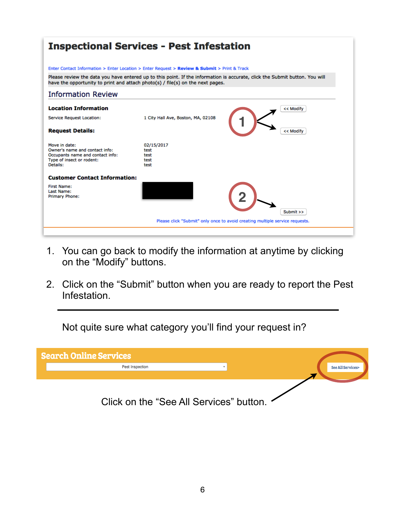| <b>Inspectional Services - Pest Infestation</b>                                                                              |                                                                                                                                                                                                               |  |
|------------------------------------------------------------------------------------------------------------------------------|---------------------------------------------------------------------------------------------------------------------------------------------------------------------------------------------------------------|--|
|                                                                                                                              | Enter Contact Information > Enter Location > Enter Request > Review & Submit > Print & Track                                                                                                                  |  |
|                                                                                                                              | Please review the data you have entered up to this point. If the information is accurate, click the Submit button. You will<br>have the opportunity to print and attach photo(s) / file(s) on the next pages. |  |
| <b>Information Review</b>                                                                                                    |                                                                                                                                                                                                               |  |
| <b>Location Information</b>                                                                                                  | << Modify                                                                                                                                                                                                     |  |
| <b>Service Request Location:</b>                                                                                             | 1 City Hall Ave, Boston, MA, 02108                                                                                                                                                                            |  |
| <b>Request Details:</b>                                                                                                      | << Modify                                                                                                                                                                                                     |  |
| Move in date:<br>Owner's name and contact info:<br>Occupants name and contact info:<br>Type of insect or rodent:<br>Details: | 02/15/2017<br>test<br>test<br>test<br>test                                                                                                                                                                    |  |
| <b>Customer Contact Information:</b>                                                                                         |                                                                                                                                                                                                               |  |
| <b>First Name:</b><br>Last Name:<br><b>Primary Phone:</b>                                                                    | Submit >>                                                                                                                                                                                                     |  |
|                                                                                                                              | Please click "Submit" only once to avoid creating multiple service requests.                                                                                                                                  |  |
|                                                                                                                              |                                                                                                                                                                                                               |  |

- 1. You can go back to modify the information at anytime by clicking on the "Modify" buttons.
- 2. Click on the "Submit" button when you are ready to report the Pest Infestation.

Not quite sure what category you'll find your request in?